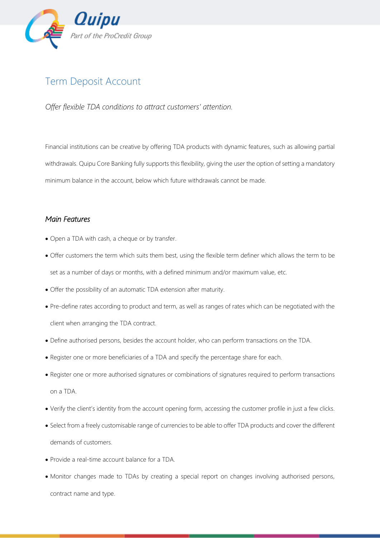

## Term Deposit Account

*Offer flexible TDA conditions to attract customers' attention.*

Financial institutions can be creative by offering TDA products with dynamic features, such as allowing partial withdrawals. Quipu Core Banking fully supports this flexibility, giving the user the option of setting a mandatory minimum balance in the account, below which future withdrawals cannot be made.

## *Main Features*

- Open a TDA with cash, a cheque or by transfer.
- Offer customers the term which suits them best, using the flexible term definer which allows the term to be set as a number of days or months, with a defined minimum and/or maximum value, etc.
- Offer the possibility of an automatic TDA extension after maturity.
- Pre-define rates according to product and term, as well as ranges of rates which can be negotiated with the client when arranging the TDA contract.
- Define authorised persons, besides the account holder, who can perform transactions on the TDA.
- Register one or more beneficiaries of a TDA and specify the percentage share for each.
- Register one or more authorised signatures or combinations of signatures required to perform transactions on a TDA.
- Verify the client's identity from the account opening form, accessing the customer profile in just a few clicks.
- Select from a freely customisable range of currencies to be able to offer TDA products and cover the different demands of customers.
- Provide a real-time account balance for a TDA.
- Monitor changes made to TDAs by creating a special report on changes involving authorised persons, contract name and type.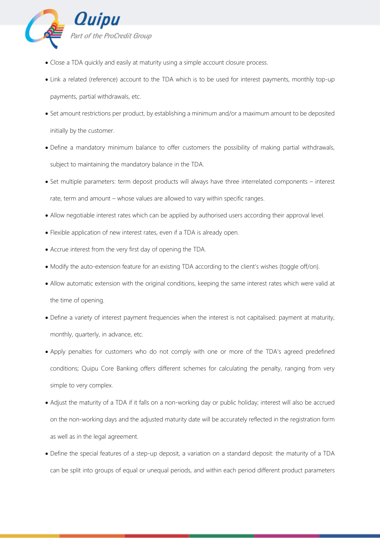

- Close a TDA quickly and easily at maturity using a simple account closure process.
- Link a related (reference) account to the TDA which is to be used for interest payments, monthly top-up payments, partial withdrawals, etc.
- Set amount restrictions per product, by establishing a minimum and/or a maximum amount to be deposited initially by the customer.
- Define a mandatory minimum balance to offer customers the possibility of making partial withdrawals, subject to maintaining the mandatory balance in the TDA.
- Set multiple parameters: term deposit products will always have three interrelated components interest rate, term and amount – whose values are allowed to vary within specific ranges.
- Allow negotiable interest rates which can be applied by authorised users according their approval level.
- Flexible application of new interest rates, even if a TDA is already open.
- Accrue interest from the very first day of opening the TDA.
- Modify the auto-extension feature for an existing TDA according to the client's wishes (toggle off/on).
- Allow automatic extension with the original conditions, keeping the same interest rates which were valid at the time of opening.
- Define a variety of interest payment frequencies when the interest is not capitalised: payment at maturity, monthly, quarterly, in advance, etc.
- Apply penalties for customers who do not comply with one or more of the TDA's agreed predefined conditions; Quipu Core Banking offers different schemes for calculating the penalty, ranging from very simple to very complex.
- Adjust the maturity of a TDA if it falls on a non-working day or public holiday; interest will also be accrued on the non-working days and the adjusted maturity date will be accurately reflected in the registration form as well as in the legal agreement.
- Define the special features of a step-up deposit, a variation on a standard deposit: the maturity of a TDA can be split into groups of equal or unequal periods, and within each period different product parameters